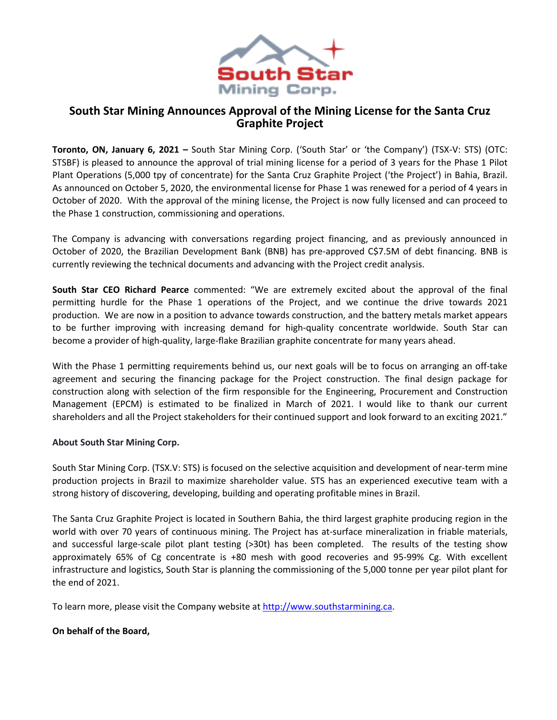

# **South Star Mining Announces Approval of the Mining License for the Santa Cruz Graphite Project**

**Toronto, ON, January 6, 2021 –** South Star Mining Corp. ('South Star' or 'the Company') (TSX-V: STS) (OTC: STSBF) is pleased to announce the approval of trial mining license for a period of 3 years for the Phase 1 Pilot Plant Operations (5,000 tpy of concentrate) for the Santa Cruz Graphite Project ('the Project') in Bahia, Brazil. As announced on October 5, 2020, the environmental license for Phase 1 was renewed for a period of 4 years in October of 2020. With the approval of the mining license, the Project is now fully licensed and can proceed to the Phase 1 construction, commissioning and operations.

The Company is advancing with conversations regarding project financing, and as previously announced in October of 2020, the Brazilian Development Bank (BNB) has pre-approved C\$7.5M of debt financing. BNB is currently reviewing the technical documents and advancing with the Project credit analysis.

**South Star CEO Richard Pearce** commented: "We are extremely excited about the approval of the final permitting hurdle for the Phase 1 operations of the Project, and we continue the drive towards 2021 production. We are now in a position to advance towards construction, and the battery metals market appears to be further improving with increasing demand for high-quality concentrate worldwide. South Star can become a provider of high-quality, large-flake Brazilian graphite concentrate for many years ahead.

With the Phase 1 permitting requirements behind us, our next goals will be to focus on arranging an off-take agreement and securing the financing package for the Project construction. The final design package for construction along with selection of the firm responsible for the Engineering, Procurement and Construction Management (EPCM) is estimated to be finalized in March of 2021. I would like to thank our current shareholders and all the Project stakeholders for their continued support and look forward to an exciting 2021."

## **About South Star Mining Corp.**

South Star Mining Corp. (TSX.V: STS) is focused on the selective acquisition and development of near-term mine production projects in Brazil to maximize shareholder value. STS has an experienced executive team with a strong history of discovering, developing, building and operating profitable mines in Brazil.

The Santa Cruz Graphite Project is located in Southern Bahia, the third largest graphite producing region in the world with over 70 years of continuous mining. The Project has at-surface mineralization in friable materials, and successful large-scale pilot plant testing (>30t) has been completed. The results of the testing show approximately 65% of Cg concentrate is +80 mesh with good recoveries and 95-99% Cg. With excellent infrastructure and logistics, South Star is planning the commissioning of the 5,000 tonne per year pilot plant for the end of 2021.

To learn more, please visit the Company website a[t http://www.southstarmining.ca.](http://www.southstarmining.ca/)

## **On behalf of the Board,**